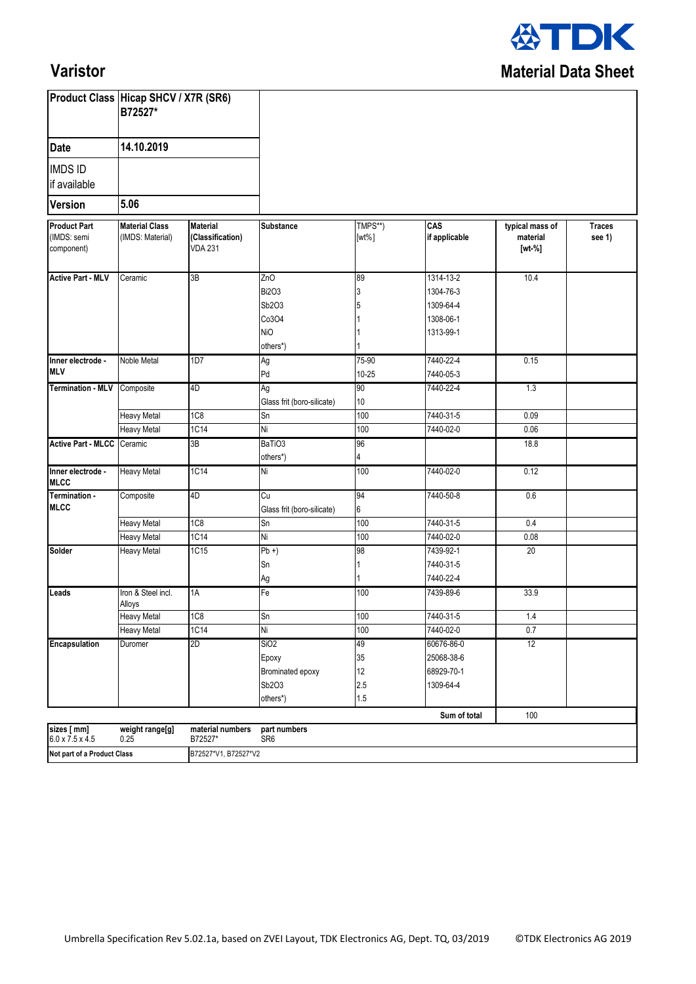

## **Varistor**

|                                                  | Product Class Hicap SHCV / X7R (SR6)<br>B72527*<br>14.10.2019<br>5.06 |                                                       |                                                                 |                              |                                                               |                                         |                         |  |
|--------------------------------------------------|-----------------------------------------------------------------------|-------------------------------------------------------|-----------------------------------------------------------------|------------------------------|---------------------------------------------------------------|-----------------------------------------|-------------------------|--|
| <b>Date</b>                                      |                                                                       |                                                       |                                                                 |                              |                                                               |                                         |                         |  |
| <b>IMDS ID</b><br>if available                   |                                                                       |                                                       |                                                                 |                              |                                                               |                                         |                         |  |
| <b>Version</b>                                   |                                                                       |                                                       |                                                                 |                              |                                                               |                                         |                         |  |
| <b>Product Part</b><br>(IMDS: semi<br>component) | <b>Material Class</b><br>(IMDS: Material)                             | <b>Material</b><br>(Classification)<br><b>VDA 231</b> | Substance                                                       | TMPS**)<br>$[wt\%]$          | CAS<br>if applicable                                          | typical mass of<br>material<br>$[wt-%]$ | <b>Traces</b><br>see 1) |  |
| <b>Active Part - MLV</b>                         | Ceramic                                                               | 3B                                                    | ZnO<br><b>Bi2O3</b><br>Sb2O3<br>Co3O4<br><b>NiO</b><br>others*) | 89<br>3<br>5                 | 1314-13-2<br>1304-76-3<br>1309-64-4<br>1308-06-1<br>1313-99-1 | 10.4                                    |                         |  |
| Inner electrode -                                | <b>Noble Metal</b>                                                    | 1D7                                                   | Ag                                                              | 75-90                        | 7440-22-4                                                     | 0.15                                    |                         |  |
| <b>MLV</b>                                       |                                                                       |                                                       | Pd                                                              | $10 - 25$                    | 7440-05-3                                                     |                                         |                         |  |
| <b>Termination - MLV</b>                         | Composite                                                             | 4D                                                    | Ag<br>Glass frit (boro-silicate)                                | 90<br>10                     | 7440-22-4                                                     | 1.3                                     |                         |  |
|                                                  | <b>Heavy Metal</b>                                                    | 1C <sub>8</sub>                                       | Sn                                                              | 100                          | 7440-31-5                                                     | 0.09                                    |                         |  |
|                                                  | <b>Heavy Metal</b>                                                    | 1C14                                                  | Ni                                                              | 100                          | 7440-02-0                                                     | 0.06                                    |                         |  |
| <b>Active Part - MLCC</b>                        | Ceramic                                                               | 3B                                                    | BaTiO3<br>others*)                                              | 96<br>4                      |                                                               | 18.8                                    |                         |  |
| Inner electrode -<br><b>MLCC</b>                 | <b>Heavy Metal</b>                                                    | 1C14                                                  | Ni                                                              | 100                          | 7440-02-0                                                     | 0.12                                    |                         |  |
| Termination -<br><b>MLCC</b>                     | Composite                                                             | 4D                                                    | Cu<br>Glass frit (boro-silicate)                                | 94<br>$6\phantom{.0}$        | 7440-50-8                                                     | 0.6                                     |                         |  |
|                                                  | <b>Heavy Metal</b>                                                    | 1C <sub>8</sub>                                       | Sn                                                              | 100                          | 7440-31-5                                                     | 0.4                                     |                         |  |
|                                                  | Heavy Metal                                                           | <b>1C14</b>                                           | Ni                                                              | 100                          | 7440-02-0                                                     | 0.08                                    |                         |  |
| Solder                                           | <b>Heavy Metal</b>                                                    | 1C15                                                  | $Pb +$<br>Sn<br>Ag                                              | 98                           | 7439-92-1<br>7440-31-5<br>7440-22-4                           | 20                                      |                         |  |
| Leads                                            | Iron & Steel incl.<br>Alloys                                          | 1A                                                    | Fe                                                              | 100                          | 7439-89-6                                                     | 33.9                                    |                         |  |
|                                                  | <b>Heavy Metal</b>                                                    | 1C8                                                   | Sn                                                              | 100                          | 7440-31-5                                                     | 1.4                                     |                         |  |
|                                                  | <b>Heavy Metal</b>                                                    | <b>1C14</b>                                           | Ni                                                              | 100                          | 7440-02-0                                                     | $\overline{0.7}$                        |                         |  |
| Encapsulation                                    | Duromer                                                               | 2D                                                    | SiO2<br>Epoxy<br>Brominated epoxy<br>Sb2O3<br>others*)          | 49<br>35<br>12<br>2.5<br>1.5 | 60676-86-0<br>25068-38-6<br>68929-70-1<br>1309-64-4           | 12                                      |                         |  |
|                                                  |                                                                       |                                                       |                                                                 |                              | Sum of total                                                  | 100                                     |                         |  |
| sizes [ mm]<br>$6.0 \times 7.5 \times 4.5$       | weight range[g]<br>0.25                                               | material numbers<br>B72527*                           | part numbers<br>SR <sub>6</sub>                                 |                              |                                                               |                                         |                         |  |
| Not part of a Product Class                      |                                                                       | B72527*V1, B72527*V2                                  |                                                                 |                              |                                                               |                                         |                         |  |